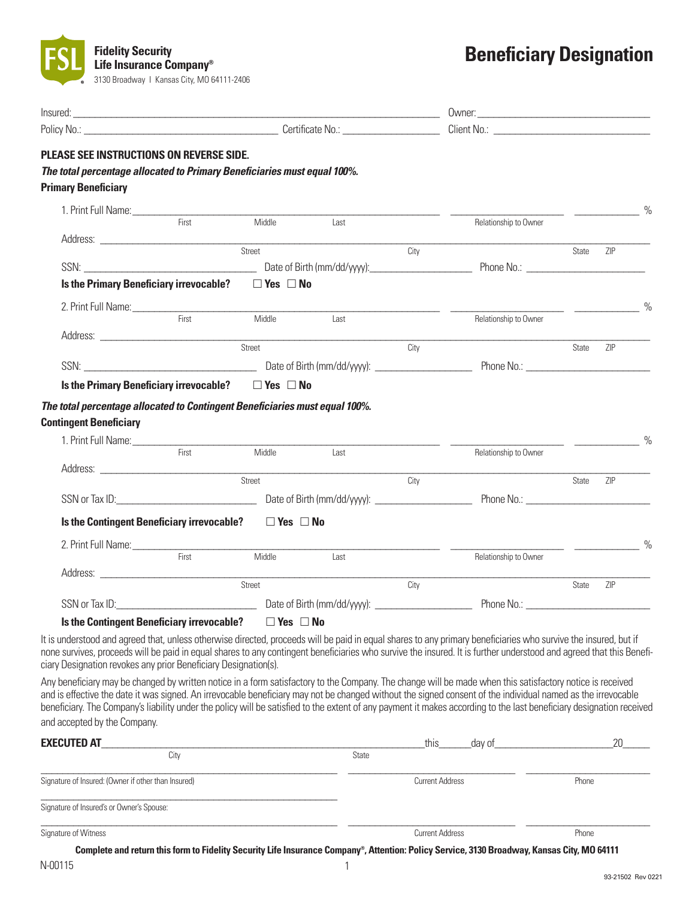

# **Beneficiary Designation**

| Insured: <u>contract the contract of the contract of the contract of the contract of the contract of the contract of the contract of the contract of the contract of the contract of the contract of the contract of the contrac</u>                                                                                                                                                                                                                                                                                              |       |                      |             |                        |                                                                                                                                             |       |                                                                                                                                                                                                                                                                                                                                                                                                                                                                                 |  |
|-----------------------------------------------------------------------------------------------------------------------------------------------------------------------------------------------------------------------------------------------------------------------------------------------------------------------------------------------------------------------------------------------------------------------------------------------------------------------------------------------------------------------------------|-------|----------------------|-------------|------------------------|---------------------------------------------------------------------------------------------------------------------------------------------|-------|---------------------------------------------------------------------------------------------------------------------------------------------------------------------------------------------------------------------------------------------------------------------------------------------------------------------------------------------------------------------------------------------------------------------------------------------------------------------------------|--|
|                                                                                                                                                                                                                                                                                                                                                                                                                                                                                                                                   |       |                      |             |                        |                                                                                                                                             |       |                                                                                                                                                                                                                                                                                                                                                                                                                                                                                 |  |
| PLEASE SEE INSTRUCTIONS ON REVERSE SIDE.<br>The total percentage allocated to Primary Beneficiaries must equal 100%.<br><b>Primary Beneficiary</b>                                                                                                                                                                                                                                                                                                                                                                                |       |                      |             |                        |                                                                                                                                             |       |                                                                                                                                                                                                                                                                                                                                                                                                                                                                                 |  |
| 1. Print Full Name: University of the Community of the Community of the Community of the Community of the Comm                                                                                                                                                                                                                                                                                                                                                                                                                    |       |                      |             |                        |                                                                                                                                             |       | $\overline{\phantom{a}}$ $\overline{\phantom{a}}$ $\overline{\phantom{a}}$ $\overline{\phantom{a}}$ $\overline{\phantom{a}}$ $\overline{\phantom{a}}$ $\overline{\phantom{a}}$ $\overline{\phantom{a}}$ $\overline{\phantom{a}}$ $\overline{\phantom{a}}$ $\overline{\phantom{a}}$ $\overline{\phantom{a}}$ $\overline{\phantom{a}}$ $\overline{\phantom{a}}$ $\overline{\phantom{a}}$ $\overline{\phantom{a}}$ $\overline{\phantom{a}}$ $\overline{\phantom{a}}$ $\overline{\$ |  |
|                                                                                                                                                                                                                                                                                                                                                                                                                                                                                                                                   | First | Middle               | Last        |                        | Relationship to Owner                                                                                                                       |       |                                                                                                                                                                                                                                                                                                                                                                                                                                                                                 |  |
|                                                                                                                                                                                                                                                                                                                                                                                                                                                                                                                                   |       |                      |             | City                   |                                                                                                                                             | State | ZIP                                                                                                                                                                                                                                                                                                                                                                                                                                                                             |  |
|                                                                                                                                                                                                                                                                                                                                                                                                                                                                                                                                   |       |                      |             |                        |                                                                                                                                             |       |                                                                                                                                                                                                                                                                                                                                                                                                                                                                                 |  |
| <b>Is the Primary Beneficiary irrevocable?</b>                                                                                                                                                                                                                                                                                                                                                                                                                                                                                    |       | $\Box$ Yes $\Box$ No |             |                        |                                                                                                                                             |       |                                                                                                                                                                                                                                                                                                                                                                                                                                                                                 |  |
| 2. Print Full Name: First                                                                                                                                                                                                                                                                                                                                                                                                                                                                                                         |       | Middle               |             |                        |                                                                                                                                             |       | $\frac{0}{0}$                                                                                                                                                                                                                                                                                                                                                                                                                                                                   |  |
|                                                                                                                                                                                                                                                                                                                                                                                                                                                                                                                                   |       |                      | Last        |                        | Relationship to Owner                                                                                                                       |       |                                                                                                                                                                                                                                                                                                                                                                                                                                                                                 |  |
|                                                                                                                                                                                                                                                                                                                                                                                                                                                                                                                                   |       |                      |             | City                   |                                                                                                                                             | State | ZIP                                                                                                                                                                                                                                                                                                                                                                                                                                                                             |  |
|                                                                                                                                                                                                                                                                                                                                                                                                                                                                                                                                   |       |                      |             |                        |                                                                                                                                             |       |                                                                                                                                                                                                                                                                                                                                                                                                                                                                                 |  |
| Is the Primary Beneficiary irrevocable? $\Box$ Yes $\Box$ No                                                                                                                                                                                                                                                                                                                                                                                                                                                                      |       |                      |             |                        |                                                                                                                                             |       |                                                                                                                                                                                                                                                                                                                                                                                                                                                                                 |  |
| The total percentage allocated to Contingent Beneficiaries must equal 100%.<br><b>Contingent Beneficiary</b>                                                                                                                                                                                                                                                                                                                                                                                                                      |       |                      |             |                        |                                                                                                                                             |       |                                                                                                                                                                                                                                                                                                                                                                                                                                                                                 |  |
|                                                                                                                                                                                                                                                                                                                                                                                                                                                                                                                                   |       |                      |             |                        |                                                                                                                                             |       | $\%$                                                                                                                                                                                                                                                                                                                                                                                                                                                                            |  |
|                                                                                                                                                                                                                                                                                                                                                                                                                                                                                                                                   | First | Middle               | <b>Last</b> |                        | Relationship to Owner                                                                                                                       |       |                                                                                                                                                                                                                                                                                                                                                                                                                                                                                 |  |
|                                                                                                                                                                                                                                                                                                                                                                                                                                                                                                                                   |       |                      |             | City                   |                                                                                                                                             | State | ZIP                                                                                                                                                                                                                                                                                                                                                                                                                                                                             |  |
|                                                                                                                                                                                                                                                                                                                                                                                                                                                                                                                                   |       |                      |             |                        |                                                                                                                                             |       |                                                                                                                                                                                                                                                                                                                                                                                                                                                                                 |  |
| Is the Contingent Beneficiary irrevocable? $\Box$ Yes $\Box$ No                                                                                                                                                                                                                                                                                                                                                                                                                                                                   |       |                      |             |                        |                                                                                                                                             |       |                                                                                                                                                                                                                                                                                                                                                                                                                                                                                 |  |
|                                                                                                                                                                                                                                                                                                                                                                                                                                                                                                                                   |       |                      |             |                        |                                                                                                                                             |       | $\frac{1}{\sqrt{1-\frac{1}{2}}}\frac{1}{\sqrt{1-\frac{1}{2}}}\frac{1}{\sqrt{1-\frac{1}{2}}}\frac{1}{\sqrt{1-\frac{1}{2}}}\frac{1}{\sqrt{1-\frac{1}{2}}}\frac{1}{\sqrt{1-\frac{1}{2}}}\frac{1}{\sqrt{1-\frac{1}{2}}}\frac{1}{\sqrt{1-\frac{1}{2}}}\frac{1}{\sqrt{1-\frac{1}{2}}}\frac{1}{\sqrt{1-\frac{1}{2}}}\frac{1}{\sqrt{1-\frac{1}{2}}}\frac{1}{\sqrt{1-\frac{1}{2}}}\frac{1}{\sqrt{1-\frac{1}{2}}}\frac{1}{\sqrt{1-\frac{$                                                 |  |
|                                                                                                                                                                                                                                                                                                                                                                                                                                                                                                                                   | First | Middle               | Last        |                        | Relationship to Owner                                                                                                                       |       |                                                                                                                                                                                                                                                                                                                                                                                                                                                                                 |  |
|                                                                                                                                                                                                                                                                                                                                                                                                                                                                                                                                   |       | Street               |             | City                   |                                                                                                                                             | State | ZIP                                                                                                                                                                                                                                                                                                                                                                                                                                                                             |  |
|                                                                                                                                                                                                                                                                                                                                                                                                                                                                                                                                   |       |                      |             |                        |                                                                                                                                             |       |                                                                                                                                                                                                                                                                                                                                                                                                                                                                                 |  |
| Is the Contingent Beneficiary irrevocable?                                                                                                                                                                                                                                                                                                                                                                                                                                                                                        |       | $\Box$ Yes $\Box$ No |             |                        |                                                                                                                                             |       |                                                                                                                                                                                                                                                                                                                                                                                                                                                                                 |  |
| It is understood and agreed that, unless otherwise directed, proceeds will be paid in equal shares to any primary beneficiaries who survive the insured, but if<br>none survives, proceeds will be paid in equal shares to any contingent beneficiaries who survive the insured. It is further understood and agreed that this Benefi-<br>ciary Designation revokes any prior Beneficiary Designation(s).                                                                                                                         |       |                      |             |                        |                                                                                                                                             |       |                                                                                                                                                                                                                                                                                                                                                                                                                                                                                 |  |
| Any beneficiary may be changed by written notice in a form satisfactory to the Company. The change will be made when this satisfactory notice is received<br>and is effective the date it was signed. An irrevocable beneficiary may not be changed without the signed consent of the individual named as the irrevocable<br>beneficiary. The Company's liability under the policy will be satisfied to the extent of any payment it makes according to the last beneficiary designation received<br>and accepted by the Company. |       |                      |             |                        |                                                                                                                                             |       |                                                                                                                                                                                                                                                                                                                                                                                                                                                                                 |  |
|                                                                                                                                                                                                                                                                                                                                                                                                                                                                                                                                   |       |                      |             |                        |                                                                                                                                             |       |                                                                                                                                                                                                                                                                                                                                                                                                                                                                                 |  |
| <b>EXECUTED AT</b>                                                                                                                                                                                                                                                                                                                                                                                                                                                                                                                | City  |                      | State       | this                   | day of                                                                                                                                      |       | 20                                                                                                                                                                                                                                                                                                                                                                                                                                                                              |  |
| Signature of Insured: (Owner if other than Insured)                                                                                                                                                                                                                                                                                                                                                                                                                                                                               |       |                      |             | <b>Current Address</b> |                                                                                                                                             | Phone |                                                                                                                                                                                                                                                                                                                                                                                                                                                                                 |  |
| Signature of Insured's or Owner's Spouse:                                                                                                                                                                                                                                                                                                                                                                                                                                                                                         |       |                      |             |                        |                                                                                                                                             |       |                                                                                                                                                                                                                                                                                                                                                                                                                                                                                 |  |
| Signature of Witness                                                                                                                                                                                                                                                                                                                                                                                                                                                                                                              |       |                      |             | <b>Current Address</b> |                                                                                                                                             | Phone |                                                                                                                                                                                                                                                                                                                                                                                                                                                                                 |  |
|                                                                                                                                                                                                                                                                                                                                                                                                                                                                                                                                   |       |                      |             |                        | Complete and return this form to Fidelity Security Life Insurance Company®, Attention: Policy Service, 3130 Broadway, Kansas City, MO 64111 |       |                                                                                                                                                                                                                                                                                                                                                                                                                                                                                 |  |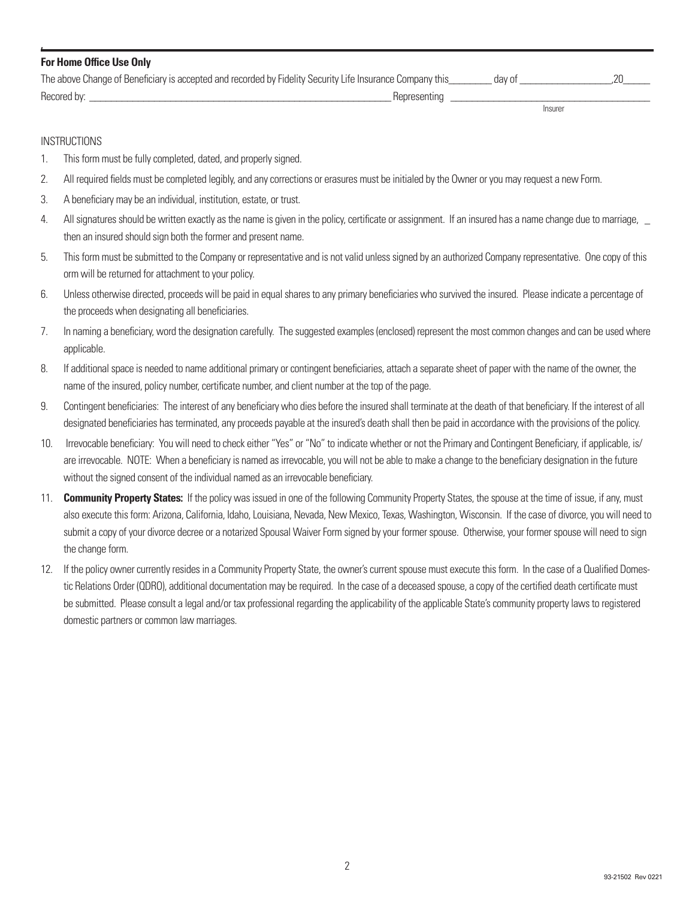| <b>For Home Office Use Only</b>                                                                           |              |         |  |
|-----------------------------------------------------------------------------------------------------------|--------------|---------|--|
| The above Change of Beneficiary is accepted and recorded by Fidelity Security Life Insurance Company this |              | day of  |  |
| Recored by:                                                                                               | Representing |         |  |
|                                                                                                           |              | Insurer |  |

#### **INSTRUCTIONS**

**,**

- 1. This form must be fully completed, dated, and properly signed.
- 2. All required fields must be completed legibly, and any corrections or erasures must be initialed by the Owner or you may request a new Form.
- 3. A beneficiary may be an individual, institution, estate, or trust.
- 4. All signatures should be written exactly as the name is given in the policy, certificate or assignment. If an insured has a name change due to marriage, then an insured should sign both the former and present name.
- 5. This form must be submitted to the Company or representative and is not valid unless signed by an authorized Company representative. One copy of this orm will be returned for attachment to your policy.
- 6. Unless otherwise directed, proceeds will be paid in equal shares to any primary beneficiaries who survived the insured. Please indicate a percentage of the proceeds when designating all beneficiaries.
- 7. In naming a beneficiary, word the designation carefully. The suggested examples (enclosed) represent the most common changes and can be used where applicable.
- 8. If additional space is needed to name additional primary or contingent beneficiaries, attach a separate sheet of paper with the name of the owner, the name of the insured, policy number, certificate number, and client number at the top of the page.
- 9. Contingent beneficiaries: The interest of any beneficiary who dies before the insured shall terminate at the death of that beneficiary. If the interest of all designated beneficiaries hasterminated, any proceeds payable at the insured's death shall then be paid in accordance with the provisions of the policy.
- 10. Irrevocable beneficiary: You will need to check either "Yes" or "No" to indicate whether or not the Primary and Contingent Beneficiary, if applicable, is/ are irrevocable. NOTE: When a beneficiary is named as irrevocable, you will not be able to make a change to the beneficiary designation in the future without the signed consent of the individual named as an irrevocable beneficiary.
- 11. **Community Property States:** If the policy wasissued in one of the following Community Property States, the spouse at the time of issue, if any, must also execute this form: Arizona, California, Idaho, Louisiana, Nevada, New Mexico, Texas, Washington, Wisconsin. If the case of divorce, you will need to submit a copy of your divorce decree or a notarized Spousal Waiver Form signed by your former spouse. Otherwise, your former spouse will need to sign the change form.
- 12. If the policy owner currently resides in a Community Property State, the owner's current spouse must execute this form. In the case of a Qualified Domestic Relations Order (QDRO), additional documentation may be required. In the case of a deceased spouse, a copy of the certified death certificate must be submitted. Please consult a legal and/or tax professional regarding the applicability of the applicable State's community property laws to registered domestic partners or common law marriages.